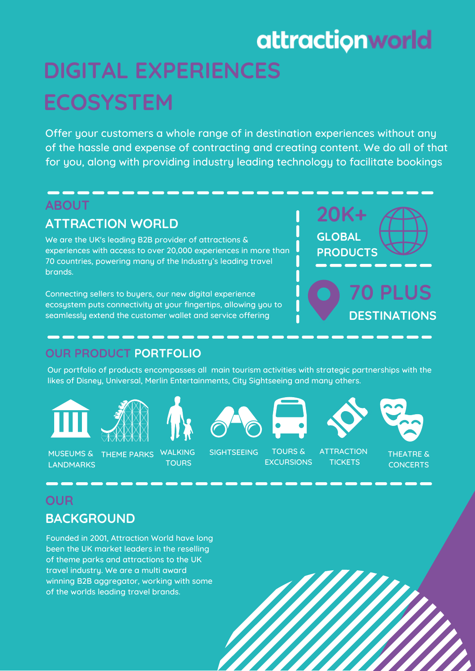# attractionworld

# **DIGITAL EXPERIENCES ECOSYSTEM**

Offer your customers a whole range of in destination experiences without any of the hassle and expense of contracting and creating content. We do all of that for you, along with providing industry leading technology to facilitate bookings

### **ABOUT**

## **ATTRACTION WORLD**

We are the UK's leading B2B provider of attractions & experiences with access to over 20,000 experiences in more than 70 countries, powering many of the Industry's leading travel brands.

Connecting sellers to buyers, our new digital experience ecosystem puts connectivity at your fingertips, allowing you to seamlessly extend the customer wallet and service offering



# **OUR PRODUCT PORTFOLIO**

Our portfolio of products encompasses all main tourism activities with strategic partnerships with the likes of Disney, Universal, Merlin Entertainments, City Sightseeing and many others.















**DESTINATIONS**

MUSEUMS & LANDMARKS

THEME PARKS WALKING

**TOURS** 

SIGHTSEEING TOURS &

**EXCURSIONS ATTRACTION TICKETS** 

THEATRE & **CONCERTS** 

# **OUR BACKGROUND**

Founded in 2001, Attraction World have long been the UK market leaders in the reselling of theme parks and attractions to the UK travel industry. We are a multi award winning B2B aggregator, working with some of the worlds leading travel brands.